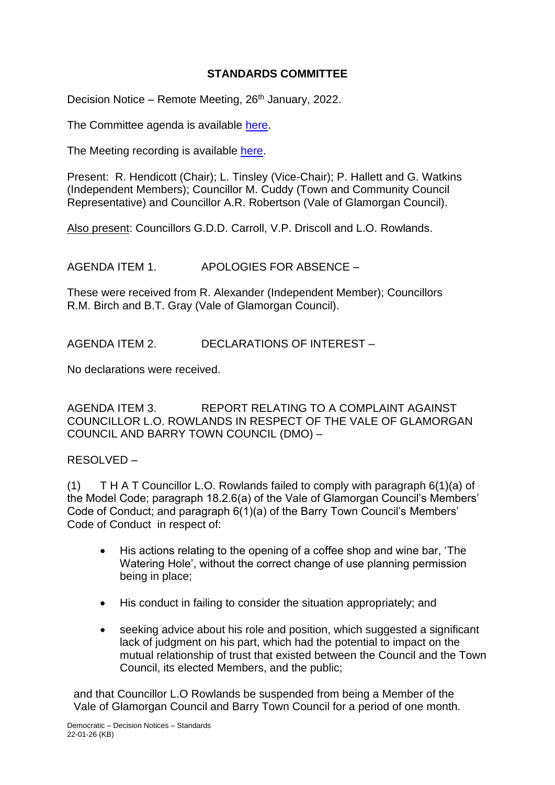## **STANDARDS COMMITTEE**

Decision Notice – Remote Meeting,  $26<sup>th</sup>$  January, 2022.

The Committee agenda is available [here.](https://www.valeofglamorgan.gov.uk/en/our_council/Council-Structure/minutes,_agendas_and_reports/agendas/standards/2022/22-01-26.aspx)

The Meeting recording is available [here.](https://www.youtube.com/watch?v=XSK0o1Zasfw)

Present: R. Hendicott (Chair); L. Tinsley (Vice-Chair); P. Hallett and G. Watkins (Independent Members); Councillor M. Cuddy (Town and Community Council Representative) and Councillor A.R. Robertson (Vale of Glamorgan Council).

Also present: Councillors G.D.D. Carroll, V.P. Driscoll and L.O. Rowlands.

AGENDA ITEM 1. APOLOGIES FOR ABSENCE –

These were received from R. Alexander (Independent Member); Councillors R.M. Birch and B.T. Gray (Vale of Glamorgan Council).

AGENDA ITEM 2. DECLARATIONS OF INTEREST –

No declarations were received.

AGENDA ITEM 3. REPORT RELATING TO A COMPLAINT AGAINST COUNCILLOR L.O. ROWLANDS IN RESPECT OF THE VALE OF GLAMORGAN COUNCIL AND BARRY TOWN COUNCIL (DMO) –

RESOLVED –

(1) T H A T Councillor L.O. Rowlands failed to comply with paragraph 6(1)(a) of the Model Code; paragraph 18.2.6(a) of the Vale of Glamorgan Council's Members' Code of Conduct; and paragraph 6(1)(a) of the Barry Town Council's Members' Code of Conduct in respect of:

- His actions relating to the opening of a coffee shop and wine bar, 'The Watering Hole', without the correct change of use planning permission being in place;
- His conduct in failing to consider the situation appropriately; and
- seeking advice about his role and position, which suggested a significant lack of judgment on his part, which had the potential to impact on the mutual relationship of trust that existed between the Council and the Town Council, its elected Members, and the public;

and that Councillor L.O Rowlands be suspended from being a Member of the Vale of Glamorgan Council and Barry Town Council for a period of one month*.*